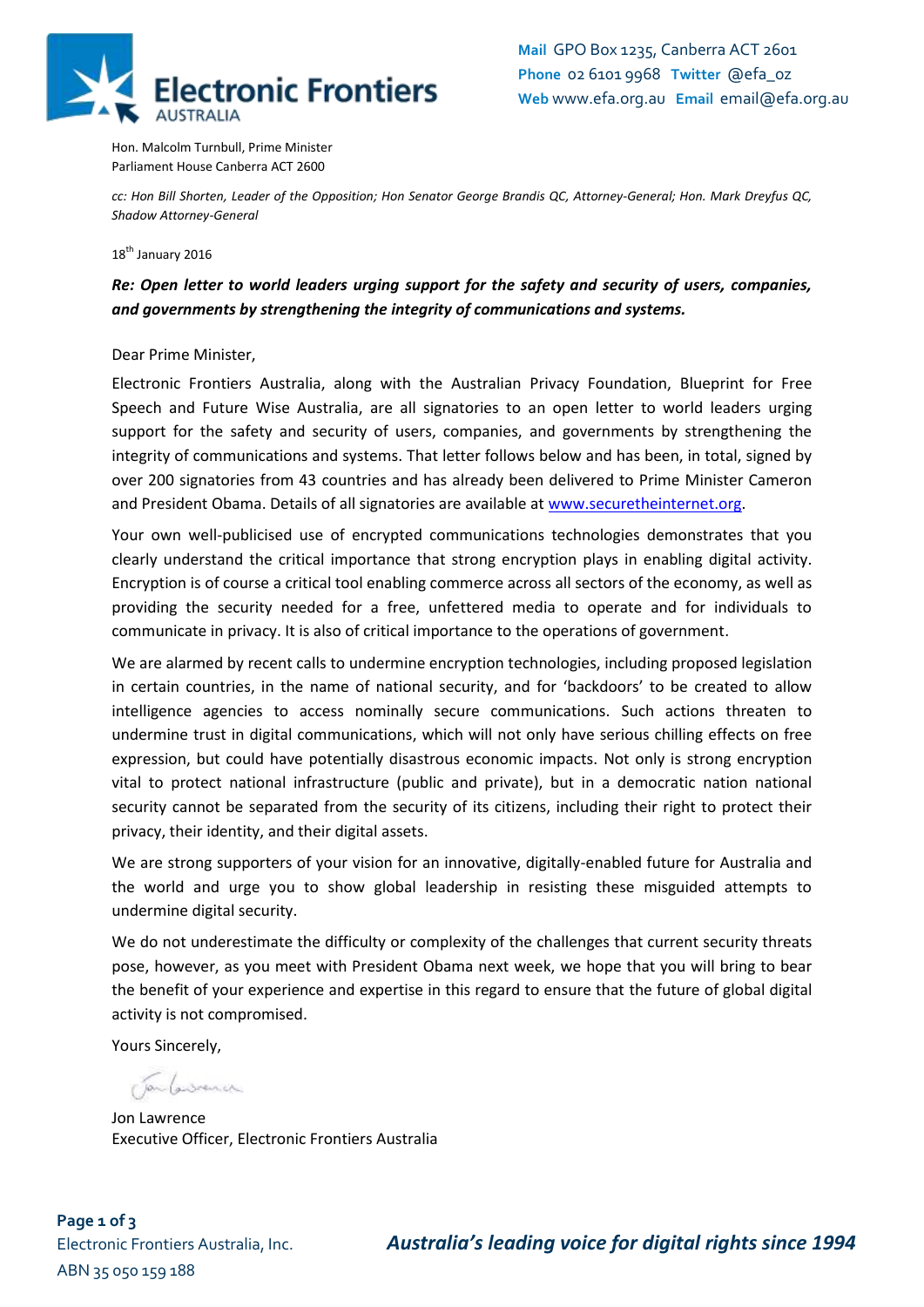

Hon. Malcolm Turnbull, Prime Minister Parliament House Canberra ACT 2600

*cc: Hon Bill Shorten, Leader of the Opposition; Hon Senator George Brandis QC, Attorney-General; Hon. Mark Dreyfus QC, Shadow Attorney-General*

18<sup>th</sup> January 2016

## *Re: Open letter to world leaders urging support for the safety and security of users, companies, and governments by strengthening the integrity of communications and systems.*

Dear Prime Minister,

Electronic Frontiers Australia, along with the Australian Privacy Foundation, Blueprint for Free Speech and Future Wise Australia, are all signatories to an open letter to world leaders urging support for the safety and security of users, companies, and governments by strengthening the integrity of communications and systems. That letter follows below and has been, in total, signed by over 200 signatories from 43 countries and has already been delivered to Prime Minister Cameron and President Obama. Details of all signatories are available at [www.securetheinternet.org.](http://www.securetheinternet.org/)

Your own well-publicised use of encrypted communications technologies demonstrates that you clearly understand the critical importance that strong encryption plays in enabling digital activity. Encryption is of course a critical tool enabling commerce across all sectors of the economy, as well as providing the security needed for a free, unfettered media to operate and for individuals to communicate in privacy. It is also of critical importance to the operations of government.

We are alarmed by recent calls to undermine encryption technologies, including proposed legislation in certain countries, in the name of national security, and for 'backdoors' to be created to allow intelligence agencies to access nominally secure communications. Such actions threaten to undermine trust in digital communications, which will not only have serious chilling effects on free expression, but could have potentially disastrous economic impacts. Not only is strong encryption vital to protect national infrastructure (public and private), but in a democratic nation national security cannot be separated from the security of its citizens, including their right to protect their privacy, their identity, and their digital assets.

We are strong supporters of your vision for an innovative, digitally-enabled future for Australia and the world and urge you to show global leadership in resisting these misguided attempts to undermine digital security.

We do not underestimate the difficulty or complexity of the challenges that current security threats pose, however, as you meet with President Obama next week, we hope that you will bring to bear the benefit of your experience and expertise in this regard to ensure that the future of global digital activity is not compromised.

Yours Sincerely,

Clan Convenier

Jon Lawrence Executive Officer, Electronic Frontiers Australia

**Page 1 of 3** ABN 35 050 159 188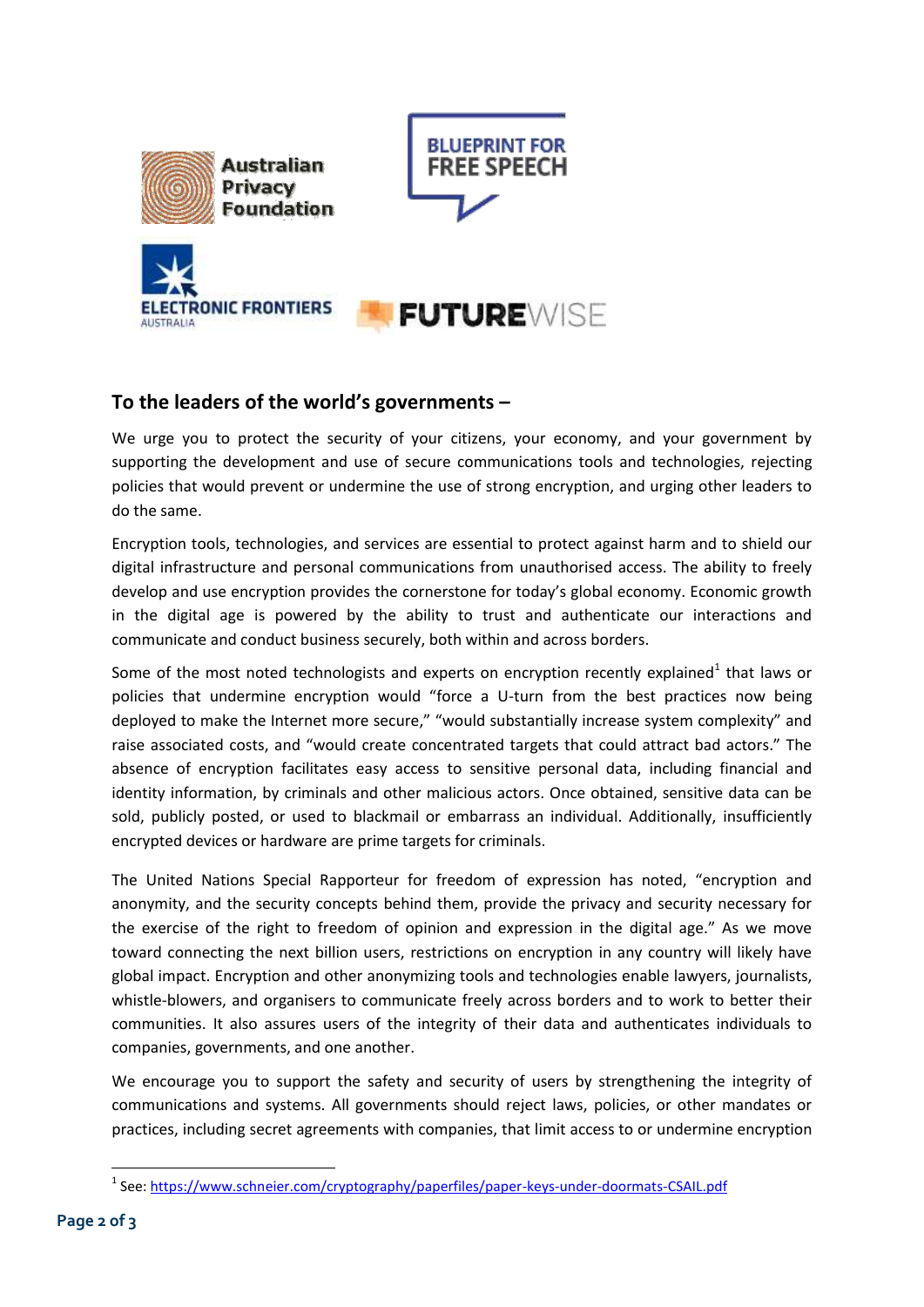







## **To the leaders of the world's governments –**

We urge you to protect the security of your citizens, your economy, and your government by supporting the development and use of secure communications tools and technologies, rejecting policies that would prevent or undermine the use of strong encryption, and urging other leaders to do the same.

Encryption tools, technologies, and services are essential to protect against harm and to shield our digital infrastructure and personal communications from unauthorised access. The ability to freely develop and use encryption provides the cornerstone for today's global economy. Economic growth in the digital age is powered by the ability to trust and authenticate our interactions and communicate and conduct business securely, both within and across borders.

Some of the most noted technologists and experts on encryption recently explained<sup>1</sup> that laws or policies that undermine encryption would "force a U-turn from the best practices now being deployed to make the Internet more secure," "would substantially increase system complexity" and raise associated costs, and "would create concentrated targets that could attract bad actors." The absence of encryption facilitates easy access to sensitive personal data, including financial and identity information, by criminals and other malicious actors. Once obtained, sensitive data can be sold, publicly posted, or used to blackmail or embarrass an individual. Additionally, insufficiently encrypted devices or hardware are prime targets for criminals.

The United Nations Special Rapporteur for freedom of expression has noted, "encryption and anonymity, and the security concepts behind them, provide the privacy and security necessary for the exercise of the right to freedom of opinion and expression in the digital age." As we move toward connecting the next billion users, restrictions on encryption in any country will likely have global impact. Encryption and other anonymizing tools and technologies enable lawyers, journalists, whistle-blowers, and organisers to communicate freely across borders and to work to better their communities. It also assures users of the integrity of their data and authenticates individuals to companies, governments, and one another.

We encourage you to support the safety and security of users by strengthening the integrity of communications and systems. All governments should reject laws, policies, or other mandates or practices, including secret agreements with companies, that limit access to or undermine encryption

**.** 

<sup>&</sup>lt;sup>1</sup> See:<https://www.schneier.com/cryptography/paperfiles/paper-keys-under-doormats-CSAIL.pdf>